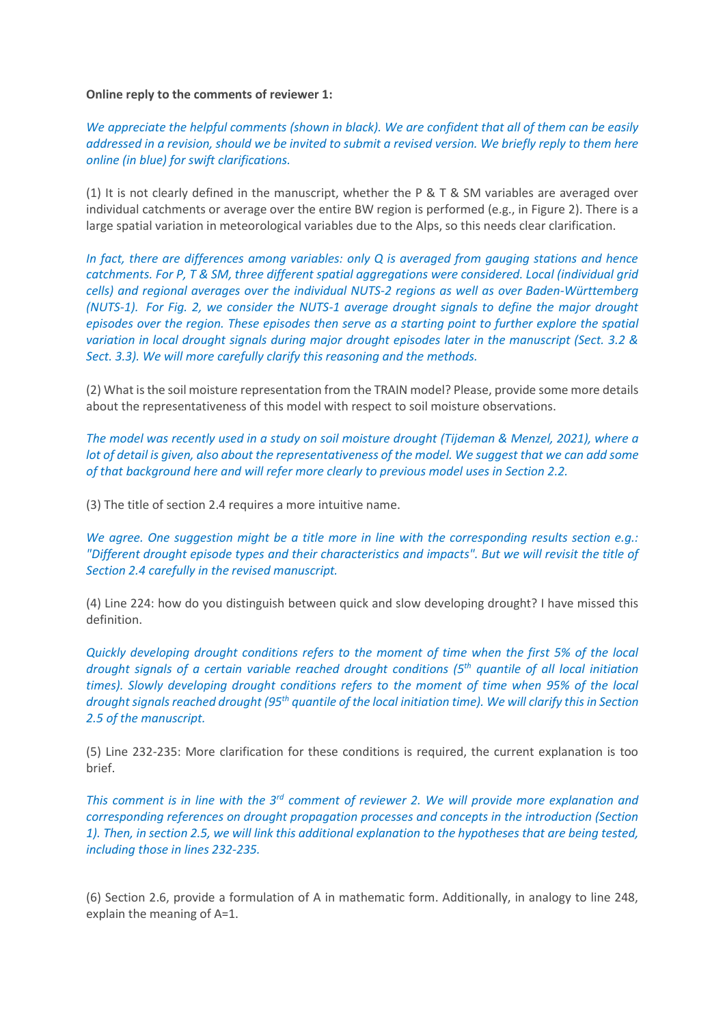## **Online reply to the comments of reviewer 1:**

*We appreciate the helpful comments (shown in black). We are confident that all of them can be easily addressed in a revision, should we be invited to submit a revised version. We briefly reply to them here online (in blue) for swift clarifications.*

(1) It is not clearly defined in the manuscript, whether the P & T & SM variables are averaged over individual catchments or average over the entire BW region is performed (e.g., in Figure 2). There is a large spatial variation in meteorological variables due to the Alps, so this needs clear clarification.

*In fact, there are differences among variables: only Q is averaged from gauging stations and hence catchments. For P, T & SM, three different spatial aggregations were considered. Local (individual grid cells) and regional averages over the individual NUTS-2 regions as well as over Baden-Württemberg (NUTS-1). For Fig. 2, we consider the NUTS-1 average drought signals to define the major drought episodes over the region. These episodes then serve as a starting point to further explore the spatial variation in local drought signals during major drought episodes later in the manuscript (Sect. 3.2 & Sect. 3.3). We will more carefully clarify this reasoning and the methods.*

(2) What is the soil moisture representation from the TRAIN model? Please, provide some more details about the representativeness of this model with respect to soil moisture observations.

*The model was recently used in a study on soil moisture drought (Tijdeman & Menzel, 2021), where a lot of detail is given, also about the representativeness of the model. We suggest that we can add some of that background here and will refer more clearly to previous model uses in Section 2.2.*

(3) The title of section 2.4 requires a more intuitive name.

*We agree. One suggestion might be a title more in line with the corresponding results section e.g.: "Different drought episode types and their characteristics and impacts". But we will revisit the title of Section 2.4 carefully in the revised manuscript.*

(4) Line 224: how do you distinguish between quick and slow developing drought? I have missed this definition.

*Quickly developing drought conditions refers to the moment of time when the first 5% of the local drought signals of a certain variable reached drought conditions (5th quantile of all local initiation times). Slowly developing drought conditions refers to the moment of time when 95% of the local drought signals reached drought (95th quantile of the local initiation time). We will clarify this in Section 2.5 of the manuscript.*

(5) Line 232-235: More clarification for these conditions is required, the current explanation is too brief.

*This comment is in line with the 3rd comment of reviewer 2. We will provide more explanation and corresponding references on drought propagation processes and concepts in the introduction (Section 1). Then, in section 2.5, we will link this additional explanation to the hypotheses that are being tested, including those in lines 232-235.*

(6) Section 2.6, provide a formulation of A in mathematic form. Additionally, in analogy to line 248, explain the meaning of A=1.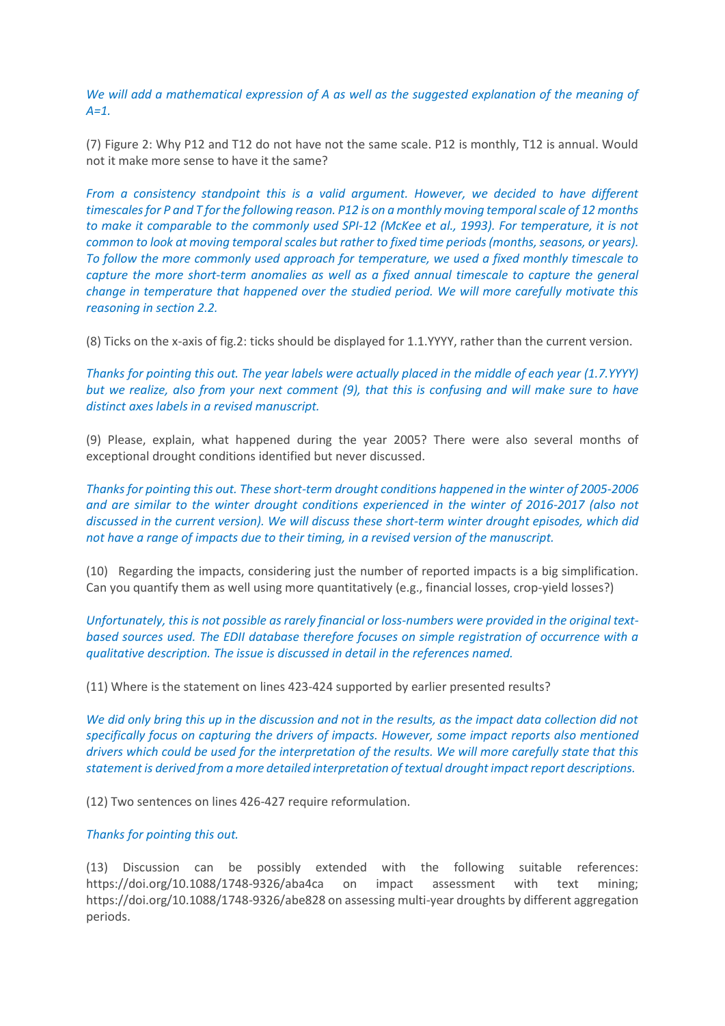*We will add a mathematical expression of A as well as the suggested explanation of the meaning of A=1.*

(7) Figure 2: Why P12 and T12 do not have not the same scale. P12 is monthly, T12 is annual. Would not it make more sense to have it the same?

*From a consistency standpoint this is a valid argument. However, we decided to have different timescales for P and T for the following reason. P12 is on a monthly moving temporal scale of 12 months to make it comparable to the commonly used SPI-12 (McKee et al., 1993). For temperature, it is not common to look at moving temporal scales but rather to fixed time periods (months, seasons, or years). To follow the more commonly used approach for temperature, we used a fixed monthly timescale to capture the more short-term anomalies as well as a fixed annual timescale to capture the general change in temperature that happened over the studied period. We will more carefully motivate this reasoning in section 2.2.*

(8) Ticks on the x-axis of fig.2: ticks should be displayed for 1.1.YYYY, rather than the current version.

*Thanks for pointing this out. The year labels were actually placed in the middle of each year (1.7.YYYY) but we realize, also from your next comment (9), that this is confusing and will make sure to have distinct axes labels in a revised manuscript.*

(9) Please, explain, what happened during the year 2005? There were also several months of exceptional drought conditions identified but never discussed.

*Thanks for pointing this out. These short-term drought conditions happened in the winter of 2005-2006 and are similar to the winter drought conditions experienced in the winter of 2016-2017 (also not discussed in the current version). We will discuss these short-term winter drought episodes, which did not have a range of impacts due to their timing, in a revised version of the manuscript.*

(10) Regarding the impacts, considering just the number of reported impacts is a big simplification. Can you quantify them as well using more quantitatively (e.g., financial losses, crop-yield losses?)

*Unfortunately, this is not possible as rarely financial or loss-numbers were provided in the original textbased sources used. The EDII database therefore focuses on simple registration of occurrence with a qualitative description. The issue is discussed in detail in the references named.*

(11) Where is the statement on lines 423-424 supported by earlier presented results?

*We did only bring this up in the discussion and not in the results, as the impact data collection did not specifically focus on capturing the drivers of impacts. However, some impact reports also mentioned drivers which could be used for the interpretation of the results. We will more carefully state that this statement is derived from a more detailed interpretation of textual drought impact report descriptions.*

(12) Two sentences on lines 426-427 require reformulation.

## *Thanks for pointing this out.*

(13) Discussion can be possibly extended with the following suitable references: https://doi.org/10.1088/1748-9326/aba4ca on impact assessment with text mining; https://doi.org/10.1088/1748-9326/abe828 on assessing multi-year droughts by different aggregation periods.